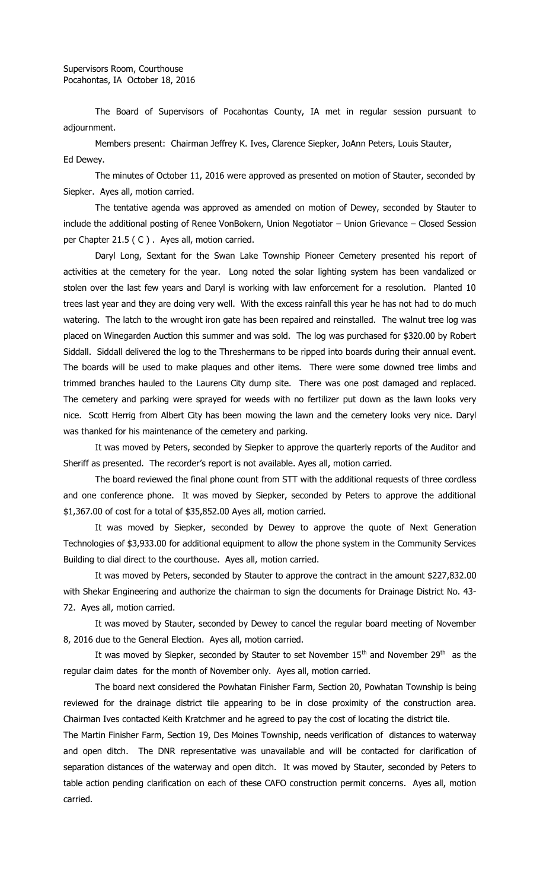The Board of Supervisors of Pocahontas County, IA met in regular session pursuant to adjournment.

Members present: Chairman Jeffrey K. Ives, Clarence Siepker, JoAnn Peters, Louis Stauter, Ed Dewey.

The minutes of October 11, 2016 were approved as presented on motion of Stauter, seconded by Siepker. Ayes all, motion carried.

The tentative agenda was approved as amended on motion of Dewey, seconded by Stauter to include the additional posting of Renee VonBokern, Union Negotiator – Union Grievance – Closed Session per Chapter 21.5 ( C ) . Ayes all, motion carried.

Daryl Long, Sextant for the Swan Lake Township Pioneer Cemetery presented his report of activities at the cemetery for the year. Long noted the solar lighting system has been vandalized or stolen over the last few years and Daryl is working with law enforcement for a resolution. Planted 10 trees last year and they are doing very well. With the excess rainfall this year he has not had to do much watering. The latch to the wrought iron gate has been repaired and reinstalled. The walnut tree log was placed on Winegarden Auction this summer and was sold. The log was purchased for \$320.00 by Robert Siddall. Siddall delivered the log to the Threshermans to be ripped into boards during their annual event. The boards will be used to make plaques and other items. There were some downed tree limbs and trimmed branches hauled to the Laurens City dump site. There was one post damaged and replaced. The cemetery and parking were sprayed for weeds with no fertilizer put down as the lawn looks very nice. Scott Herrig from Albert City has been mowing the lawn and the cemetery looks very nice. Daryl was thanked for his maintenance of the cemetery and parking.

It was moved by Peters, seconded by Siepker to approve the quarterly reports of the Auditor and Sheriff as presented. The recorder's report is not available. Ayes all, motion carried.

The board reviewed the final phone count from STT with the additional requests of three cordless and one conference phone. It was moved by Siepker, seconded by Peters to approve the additional \$1,367.00 of cost for a total of \$35,852.00 Ayes all, motion carried.

It was moved by Siepker, seconded by Dewey to approve the quote of Next Generation Technologies of \$3,933.00 for additional equipment to allow the phone system in the Community Services Building to dial direct to the courthouse. Ayes all, motion carried.

It was moved by Peters, seconded by Stauter to approve the contract in the amount \$227,832.00 with Shekar Engineering and authorize the chairman to sign the documents for Drainage District No. 43- 72. Ayes all, motion carried.

It was moved by Stauter, seconded by Dewey to cancel the regular board meeting of November 8, 2016 due to the General Election. Ayes all, motion carried.

It was moved by Siepker, seconded by Stauter to set November 15<sup>th</sup> and November 29<sup>th</sup> as the regular claim dates for the month of November only. Ayes all, motion carried.

The board next considered the Powhatan Finisher Farm, Section 20, Powhatan Township is being reviewed for the drainage district tile appearing to be in close proximity of the construction area. Chairman Ives contacted Keith Kratchmer and he agreed to pay the cost of locating the district tile.

The Martin Finisher Farm, Section 19, Des Moines Township, needs verification of distances to waterway and open ditch. The DNR representative was unavailable and will be contacted for clarification of separation distances of the waterway and open ditch. It was moved by Stauter, seconded by Peters to table action pending clarification on each of these CAFO construction permit concerns. Ayes all, motion carried.